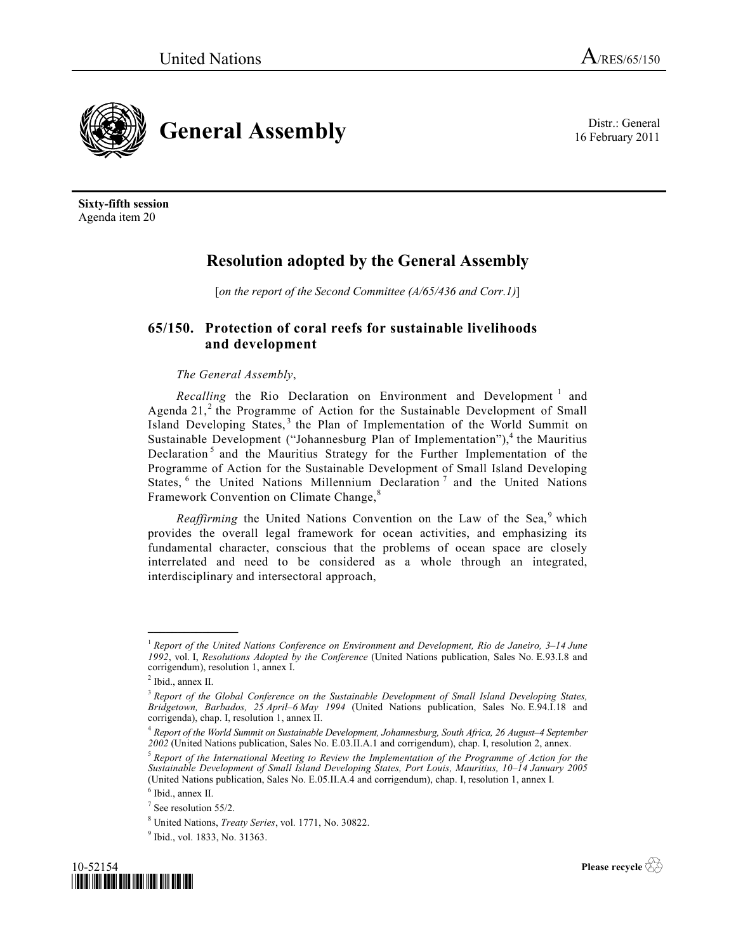

16 February 2011

**Sixty-fifth session** Agenda item 20

## **Resolution adopted by the General Assembly**

[*on the report of the Second Committee (A/65/436 and Corr.1)*]

## **65/150. Protection of coral reefs for sustainable livelihoods and development**

## *The General Assembly*,

*Recalling* the Rio Declaration on Environment and Development<sup>1</sup> and Agenda 21,<sup>2</sup> the Programme of Action for the Sustainable Development of Small Island Developing States,<sup>3</sup> the Plan of Implementation of the World Summit on Sustainable Development ("Johannesburg Plan of Implementation"),<sup>4</sup> the Mauritius Declaration<sup>5</sup> and the Mauritius Strategy for the Further Implementation of the Programme of Action for the Sustainable Development of Small Island Developing States, <sup>6</sup> the United Nations Millennium Declaration<sup>7</sup> and the United Nations Framework Convention on Climate Change,<sup>8</sup>

*Reaffirming* the United Nations Convention on the Law of the Sea,<sup>9</sup> which provides the overall legal framework for ocean activities, and emphasizing its fundamental character, conscious that the problems of ocean space are closely interrelated and need to be considered as a whole through an integrated, interdisciplinary and intersectoral approach,

**\_\_\_\_\_\_\_\_\_\_\_\_\_\_\_**

<sup>&</sup>lt;sup>9</sup> Ibid., vol. 1833, No. 31363.



<sup>1</sup> *Report of the United Nations Conference on Environment and Development, Rio de Janeiro, 3–14 June 1992*, vol. I, *Resolutions Adopted by the Conference* (United Nations publication, Sales No. E.93.I.8 and corrigendum), resolution 1, annex I.

 $<sup>2</sup>$  Ibid., annex II.</sup>

<sup>&</sup>lt;sup>3</sup> Report of the Global Conference on the Sustainable Development of Small Island Developing States, *Bridgetown, Barbados, 25 April–6 May 1994* (United Nations publication, Sales No. E.94.I.18 and corrigenda), chap. I, resolution 1, annex II.

<sup>4</sup> *Report of the World Summit on Sustainable Development, Johannesburg, South Africa, 26 August–4 September 2002* (United Nations publication, Sales No. E.03.II.A.1 and corrigendum), chap. I, resolution 2, annex.

<sup>5</sup> *Report of the International Meeting to Review the Implementation of the Programme of Action for the Sustainable Development of Small Island Developing States, Port Louis, Mauritius, 10–14 January 2005* (United Nations publication, Sales No. E.05.II.A.4 and corrigendum), chap. I, resolution 1, annex I.

<sup>6</sup> Ibid., annex II.

 $7$  See resolution 55/2.

<sup>8</sup> United Nations, *Treaty Series*, vol. 1771, No. 30822.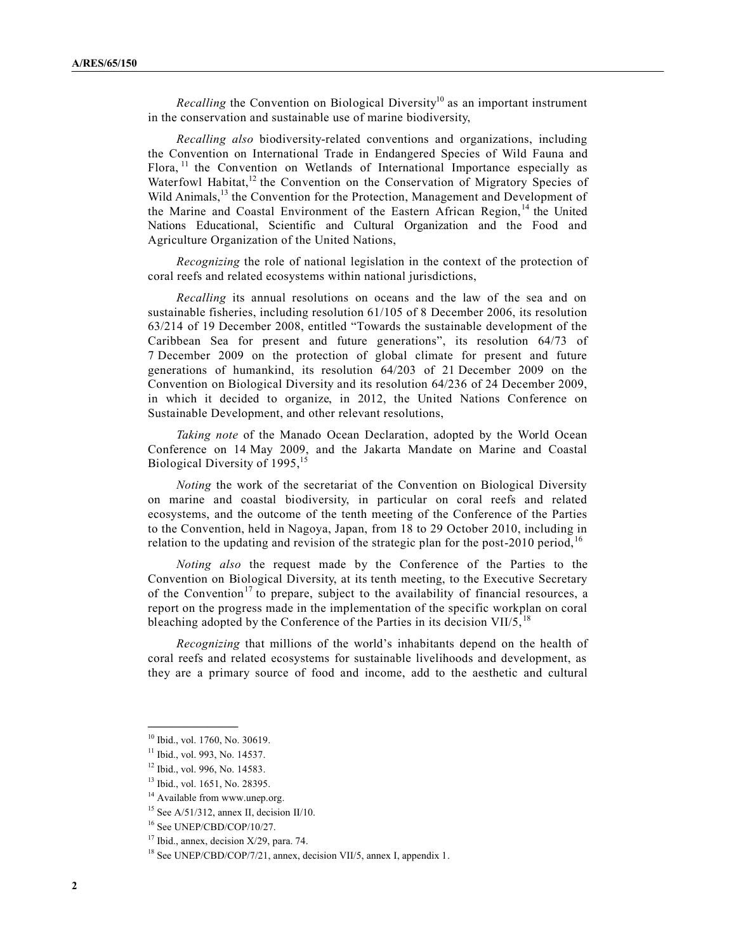*Recalling* the Convention on Biological Diversity<sup>10</sup> as an important instrument in the conservation and sustainable use of marine biodiversity,

*Recalling also* biodiversity-related conventions and organizations, including the Convention on International Trade in Endangered Species of Wild Fauna and Flora, <sup>11</sup> the Convention on Wetlands of International Importance especially as Waterfowl Habitat,<sup>12</sup> the Convention on the Conservation of Migratory Species of Wild Animals,<sup>13</sup> the Convention for the Protection, Management and Development of the Marine and Coastal Environment of the Eastern African Region,<sup>14</sup> the United Nations Educational, Scientific and Cultural Organization and the Food and Agriculture Organization of the United Nations,

*Recognizing* the role of national legislation in the context of the protection of coral reefs and related ecosystems within national jurisdictions,

*Recalling* its annual resolutions on oceans and the law of the sea and on sustainable fisheries, including resolution 61/105 of 8 December 2006, its resolution 63/214 of 19 December 2008, entitled "Towards the sustainable development of the Caribbean Sea for present and future generations", its resolution 64/73 of 7 December 2009 on the protection of global climate for present and future generations of humankind, its resolution 64/203 of 21 December 2009 on the Convention on Biological Diversity and its resolution 64/236 of 24 December 2009, in which it decided to organize, in 2012, the United Nations Conference on Sustainable Development, and other relevant resolutions,

*Taking note* of the Manado Ocean Declaration, adopted by the World Ocean Conference on 14 May 2009, and the Jakarta Mandate on Marine and Coastal Biological Diversity of 1995,<sup>15</sup>

*Noting* the work of the secretariat of the Convention on Biological Diversity on marine and coastal biodiversity, in particular on coral reefs and related ecosystems, and the outcome of the tenth meeting of the Conference of the Parties to the Convention, held in Nagoya, Japan, from 18 to 29 October 2010, including in relation to the updating and revision of the strategic plan for the post-2010 period,<sup>16</sup>

*Noting also* the request made by the Conference of the Parties to the Convention on Biological Diversity, at its tenth meeting, to the Executive Secretary of the Convention<sup>17</sup> to prepare, subject to the availability of financial resources, a report on the progress made in the implementation of the specific workplan on coral bleaching adopted by the Conference of the Parties in its decision VII/5,  $^{18}$ 

*Recognizing* that millions of the world's inhabitants depend on the health of coral reefs and related ecosystems for sustainable livelihoods and development, as they are a primary source of food and income, add to the aesthetic and cultural

**\_\_\_\_\_\_\_\_\_\_\_\_\_\_\_**

<sup>10</sup> Ibid., vol. 1760, No. 30619.

<sup>&</sup>lt;sup>11</sup> Ibid., vol. 993, No. 14537.

<sup>&</sup>lt;sup>12</sup> Ibid., vol. 996, No. 14583.

<sup>13</sup> Ibid., vol. 1651, No. 28395.

 $14$  Available from [www.u](www.)nep.org.

 $15$  See A/51/312, annex II, decision II/10.

<sup>16</sup> See UNEP/CBD/COP/10/27.

 $17$  Ibid., annex, decision X/29, para. 74.

<sup>&</sup>lt;sup>18</sup> See UNEP/CBD/COP/7/21, annex, decision VII/5, annex I, appendix 1.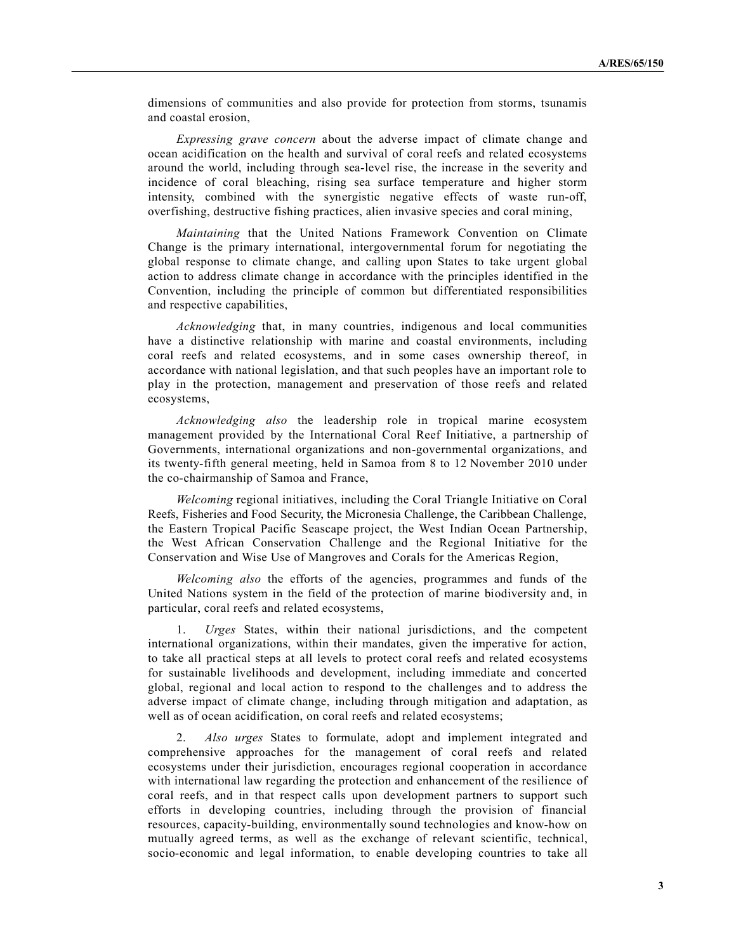dimensions of communities and also provide for protection from storms, tsunamis and coastal erosion,

*Expressing grave concern* about the adverse impact of climate change and ocean acidification on the health and survival of coral reefs and related ecosystems around the world, including through sea-level rise, the increase in the severity and incidence of coral bleaching, rising sea surface temperature and higher storm intensity, combined with the synergistic negative effects of waste run-off, overfishing, destructive fishing practices, alien invasive species and coral mining,

*Maintaining* that the United Nations Framework Convention on Climate Change is the primary international, intergovernmental forum for negotiating the global response to climate change, and calling upon States to take urgent global action to address climate change in accordance with the principles identified in the Convention, including the principle of common but differentiated responsibilities and respective capabilities,

*Acknowledging* that, in many countries, indigenous and local communities have a distinctive relationship with marine and coastal environments, including coral reefs and related ecosystems, and in some cases ownership thereof, in accordance with national legislation, and that such peoples have an important role to play in the protection, management and preservation of those reefs and related ecosystems,

*Acknowledging also* the leadership role in tropical marine ecosystem management provided by the International Coral Reef Initiative, a partnership of Governments, international organizations and non-governmental organizations, and its twenty-fifth general meeting, held in Samoa from 8 to 12 November 2010 under the co-chairmanship of Samoa and France,

*Welcoming* regional initiatives, including the Coral Triangle Initiative on Coral Reefs, Fisheries and Food Security, the Micronesia Challenge, the Caribbean Challenge, the Eastern Tropical Pacific Seascape project, the West Indian Ocean Partnership, the West African Conservation Challenge and the Regional Initiative for the Conservation and Wise Use of Mangroves and Corals for the Americas Region,

*Welcoming also* the efforts of the agencies, programmes and funds of the United Nations system in the field of the protection of marine biodiversity and, in particular, coral reefs and related ecosystems,

1. *Urges* States, within their national jurisdictions, and the competent international organizations, within their mandates, given the imperative for action, to take all practical steps at all levels to protect coral reefs and related ecosystems for sustainable livelihoods and development, including immediate and concerted global, regional and local action to respond to the challenges and to address the adverse impact of climate change, including through mitigation and adaptation, as well as of ocean acidification, on coral reefs and related ecosystems;

2. *Also urges* States to formulate, adopt and implement integrated and comprehensive approaches for the management of coral reefs and related ecosystems under their jurisdiction, encourages regional cooperation in accordance with international law regarding the protection and enhancement of the resilience of coral reefs, and in that respect calls upon development partners to support such efforts in developing countries, including through the provision of financial resources, capacity-building, environmentally sound technologies and know-how on mutually agreed terms, as well as the exchange of relevant scientific, technical, socio-economic and legal information, to enable developing countries to take all